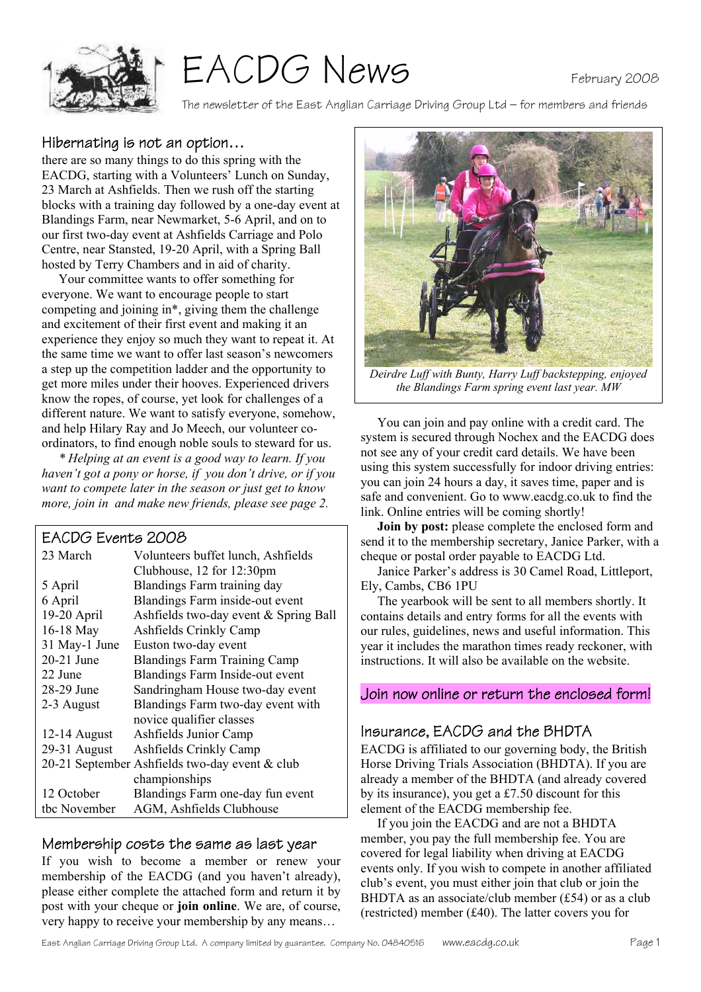



The newsletter of the East Anglian Carriage Driving Group Ltd – for members and friends

#### Hibernating is not an option…

there are so many things to do this spring with the EACDG, starting with a Volunteers' Lunch on Sunday, 23 March at Ashfields. Then we rush off the starting blocks with a training day followed by a one-day event at Blandings Farm, near Newmarket, 5-6 April, and on to our first two-day event at Ashfields Carriage and Polo Centre, near Stansted, 19-20 April, with a Spring Ball hosted by Terry Chambers and in aid of charity.

Your committee wants to offer something for everyone. We want to encourage people to start competing and joining in\*, giving them the challenge and excitement of their first event and making it an experience they enjoy so much they want to repeat it. At the same time we want to offer last season's newcomers a step up the competition ladder and the opportunity to get more miles under their hooves. Experienced drivers know the ropes, of course, yet look for challenges of a different nature. We want to satisfy everyone, somehow, and help Hilary Ray and Jo Meech, our volunteer coordinators, to find enough noble souls to steward for us.

*\* Helping at an event is a good way to learn. If you haven't got a pony or horse, if you don't drive, or if you want to compete later in the season or just get to know more, join in and make new friends, please see page 2.* 

#### EACDG Events 2008

| 23 March       | Volunteers buffet lunch, Ashfields             |
|----------------|------------------------------------------------|
|                | Clubhouse, 12 for 12:30pm                      |
| 5 April        | Blandings Farm training day                    |
| 6 April        | Blandings Farm inside-out event                |
| 19-20 April    | Ashfields two-day event & Spring Ball          |
| 16-18 May      | Ashfields Crinkly Camp                         |
| 31 May-1 June  | Euston two-day event                           |
| 20-21 June     | <b>Blandings Farm Training Camp</b>            |
| 22 June        | Blandings Farm Inside-out event                |
| 28-29 June     | Sandringham House two-day event                |
| 2-3 August     | Blandings Farm two-day event with              |
|                | novice qualifier classes                       |
| $12-14$ August | Ashfields Junior Camp                          |
| 29-31 August   | Ashfields Crinkly Camp                         |
|                | 20-21 September Ashfields two-day event & club |
|                | championships                                  |
| 12 October     | Blandings Farm one-day fun event               |
| tbc November   | AGM, Ashfields Clubhouse                       |

#### Membership costs the same as last year

If you wish to become a member or renew your membership of the EACDG (and you haven't already), please either complete the attached form and return it by post with your cheque or **join online**. We are, of course, very happy to receive your membership by any means…



*Deirdre Luff with Bunty, Harry Luff backstepping, enjoyed the Blandings Farm spring event last year. MW* 

 You can join and pay online with a credit card. The system is secured through Nochex and the EACDG does not see any of your credit card details. We have been using this system successfully for indoor driving entries: you can join 24 hours a day, it saves time, paper and is safe and convenient. Go to www.eacdg.co.uk to find the link. Online entries will be coming shortly!

**Join by post:** please complete the enclosed form and send it to the membership secretary, Janice Parker, with a cheque or postal order payable to EACDG Ltd.

 Janice Parker's address is 30 Camel Road, Littleport, Ely, Cambs, CB6 1PU

 The yearbook will be sent to all members shortly. It contains details and entry forms for all the events with our rules, guidelines, news and useful information. This year it includes the marathon times ready reckoner, with instructions. It will also be available on the website.

#### Join now online or return the enclosed form!

## Insurance, EACDG and the BHDTA

EACDG is affiliated to our governing body, the British Horse Driving Trials Association (BHDTA). If you are already a member of the BHDTA (and already covered by its insurance), you get a £7.50 discount for this element of the EACDG membership fee.

 If you join the EACDG and are not a BHDTA member, you pay the full membership fee. You are covered for legal liability when driving at EACDG events only. If you wish to compete in another affiliated club's event, you must either join that club or join the BHDTA as an associate/club member (£54) or as a club (restricted) member (£40). The latter covers you for